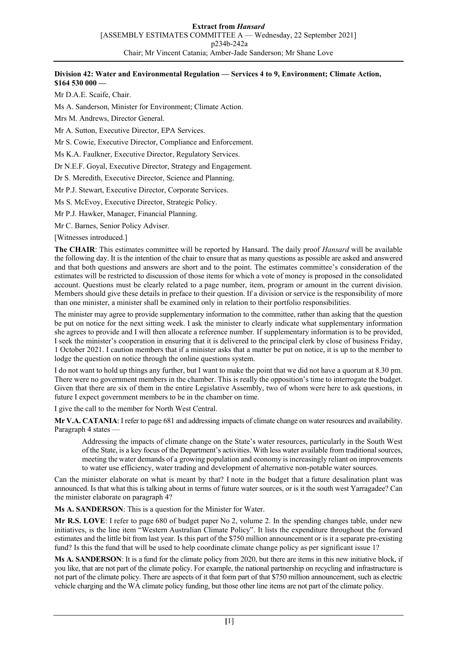### **Division 42: Water and Environmental Regulation — Services 4 to 9, Environment; Climate Action, \$164 530 000 —**

Mr D.A.E. Scaife, Chair.

Ms A. Sanderson, Minister for Environment; Climate Action.

Mrs M. Andrews, Director General.

Mr A. Sutton, Executive Director, EPA Services.

Mr S. Cowie, Executive Director, Compliance and Enforcement.

Ms K.A. Faulkner, Executive Director, Regulatory Services.

Dr N.E.F. Goyal, Executive Director, Strategy and Engagement.

Dr S. Meredith, Executive Director, Science and Planning.

Mr P.J. Stewart, Executive Director, Corporate Services.

Ms S. McEvoy, Executive Director, Strategic Policy.

Mr P.J. Hawker, Manager, Financial Planning.

Mr C. Barnes, Senior Policy Adviser.

[Witnesses introduced.]

**The CHAIR**: This estimates committee will be reported by Hansard. The daily proof *Hansard* will be available the following day. It is the intention of the chair to ensure that as many questions as possible are asked and answered and that both questions and answers are short and to the point. The estimates committee's consideration of the estimates will be restricted to discussion of those items for which a vote of money is proposed in the consolidated account. Questions must be clearly related to a page number, item, program or amount in the current division. Members should give these details in preface to their question. If a division or service is the responsibility of more than one minister, a minister shall be examined only in relation to their portfolio responsibilities.

The minister may agree to provide supplementary information to the committee, rather than asking that the question be put on notice for the next sitting week. I ask the minister to clearly indicate what supplementary information she agrees to provide and I will then allocate a reference number. If supplementary information is to be provided, I seek the minister's cooperation in ensuring that it is delivered to the principal clerk by close of business Friday, 1 October 2021. I caution members that if a minister asks that a matter be put on notice, it is up to the member to lodge the question on notice through the online questions system.

I do not want to hold up things any further, but I want to make the point that we did not have a quorum at 8.30 pm. There were no government members in the chamber. This is really the opposition's time to interrogate the budget. Given that there are six of them in the entire Legislative Assembly, two of whom were here to ask questions, in future I expect government members to be in the chamber on time.

I give the call to the member for North West Central.

**Mr V.A. CATANIA**: I refer to page 681 and addressing impacts of climate change on water resources and availability. Paragraph 4 states -

Addressing the impacts of climate change on the State's water resources, particularly in the South West of the State, is a key focus of the Department's activities. With less water available from traditional sources, meeting the water demands of a growing population and economy is increasingly reliant on improvements to water use efficiency, water trading and development of alternative non-potable water sources.

Can the minister elaborate on what is meant by that? I note in the budget that a future desalination plant was announced. Is that what this is talking about in terms of future water sources, or is it the south west Yarragadee? Can the minister elaborate on paragraph 4?

**Ms A. SANDERSON**: This is a question for the Minister for Water.

**Mr R.S. LOVE**: I refer to page 680 of budget paper No 2, volume 2. In the spending changes table, under new initiatives, is the line item "Western Australian Climate Policy". It lists the expenditure throughout the forward estimates and the little bit from last year. Is this part of the \$750 million announcement or is it a separate pre-existing fund? Is this the fund that will be used to help coordinate climate change policy as per significant issue 1?

**Ms A. SANDERSON**: It is a fund for the climate policy from 2020, but there are items in this new initiative block, if you like, that are not part of the climate policy. For example, the national partnership on recycling and infrastructure is not part of the climate policy. There are aspects of it that form part of that \$750 million announcement, such as electric vehicle charging and the WA climate policy funding, but those other line items are not part of the climate policy.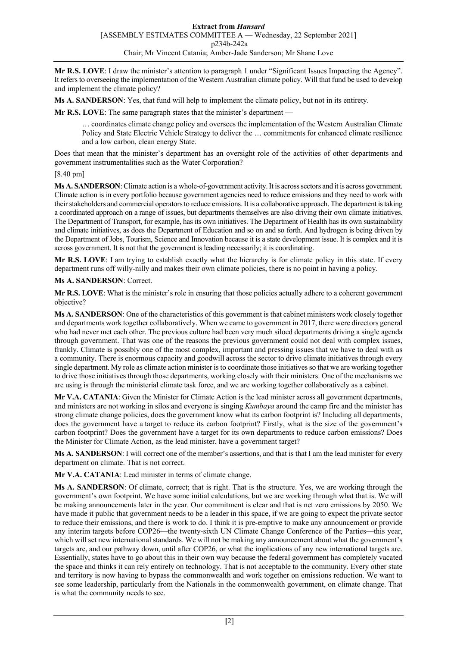**Mr R.S. LOVE**: I draw the minister's attention to paragraph 1 under "Significant Issues Impacting the Agency". It refers to overseeing the implementation of the Western Australian climate policy. Will that fund be used to develop and implement the climate policy?

**Ms A. SANDERSON**: Yes, that fund will help to implement the climate policy, but not in its entirety.

**Mr R.S. LOVE**: The same paragraph states that the minister's department —

… coordinates climate change policy and oversees the implementation of the Western Australian Climate Policy and State Electric Vehicle Strategy to deliver the … commitments for enhanced climate resilience and a low carbon, clean energy State.

Does that mean that the minister's department has an oversight role of the activities of other departments and government instrumentalities such as the Water Corporation?

## [8.40 pm]

**Ms A. SANDERSON**: Climate action is a whole-of-government activity. It is across sectors and it is across government. Climate action is in every portfolio because government agencies need to reduce emissions and they need to work with their stakeholders and commercial operators to reduce emissions. It is a collaborative approach. The department is taking a coordinated approach on a range of issues, but departments themselves are also driving their own climate initiatives. The Department of Transport, for example, has its own initiatives. The Department of Health has its own sustainability and climate initiatives, as does the Department of Education and so on and so forth. And hydrogen is being driven by the Department of Jobs, Tourism, Science and Innovation because it is a state development issue. It is complex and it is across government. It is not that the government is leading necessarily; it is coordinating.

**Mr R.S. LOVE**: I am trying to establish exactly what the hierarchy is for climate policy in this state. If every department runs off willy-nilly and makes their own climate policies, there is no point in having a policy.

## **Ms A. SANDERSON**: Correct.

**Mr R.S. LOVE**: What is the minister's role in ensuring that those policies actually adhere to a coherent government objective?

**Ms A. SANDERSON**: One of the characteristics of this government is that cabinet ministers work closely together and departments work together collaboratively. When we came to government in 2017, there were directors general who had never met each other. The previous culture had been very much siloed departments driving a single agenda through government. That was one of the reasons the previous government could not deal with complex issues, frankly. Climate is possibly one of the most complex, important and pressing issues that we have to deal with as a community. There is enormous capacity and goodwill across the sector to drive climate initiatives through every single department. My role as climate action minister is to coordinate those initiatives so that we are working together to drive those initiatives through those departments, working closely with their ministers. One of the mechanisms we are using is through the ministerial climate task force, and we are working together collaboratively as a cabinet.

**Mr V.A. CATANIA**: Given the Minister for Climate Action is the lead minister across all government departments, and ministers are not working in silos and everyone is singing *Kumbaya* around the camp fire and the minister has strong climate change policies, does the government know what its carbon footprint is? Including all departments, does the government have a target to reduce its carbon footprint? Firstly, what is the size of the government's carbon footprint? Does the government have a target for its own departments to reduce carbon emissions? Does the Minister for Climate Action, as the lead minister, have a government target?

**Ms A. SANDERSON**: I will correct one of the member's assertions, and that is that I am the lead minister for every department on climate. That is not correct.

**Mr V.A. CATANIA**: Lead minister in terms of climate change.

**Ms A. SANDERSON**: Of climate, correct; that is right. That is the structure. Yes, we are working through the government's own footprint. We have some initial calculations, but we are working through what that is. We will be making announcements later in the year. Our commitment is clear and that is net zero emissions by 2050. We have made it public that government needs to be a leader in this space, if we are going to expect the private sector to reduce their emissions, and there is work to do. I think it is pre-emptive to make any announcement or provide any interim targets before COP26—the twenty-sixth UN Climate Change Conference of the Parties—this year, which will set new international standards. We will not be making any announcement about what the government's targets are, and our pathway down, until after COP26, or what the implications of any new international targets are. Essentially, states have to go about this in their own way because the federal government has completely vacated the space and thinks it can rely entirely on technology. That is not acceptable to the community. Every other state and territory is now having to bypass the commonwealth and work together on emissions reduction. We want to see some leadership, particularly from the Nationals in the commonwealth government, on climate change. That is what the community needs to see.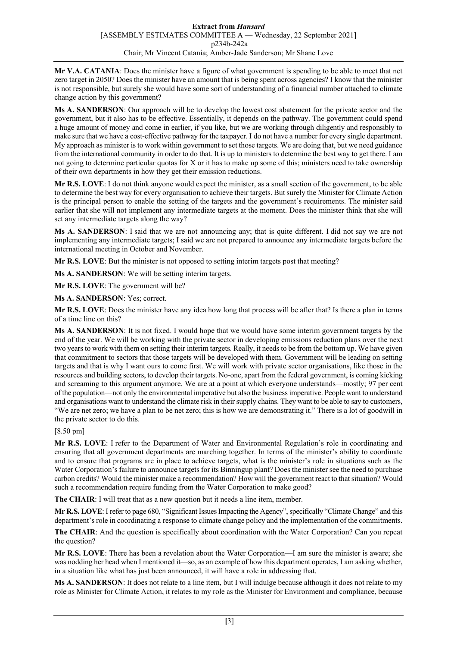**Mr V.A. CATANIA**: Does the minister have a figure of what government is spending to be able to meet that net zero target in 2050? Does the minister have an amount that is being spent across agencies? I know that the minister is not responsible, but surely she would have some sort of understanding of a financial number attached to climate change action by this government?

**Ms A. SANDERSON**: Our approach will be to develop the lowest cost abatement for the private sector and the government, but it also has to be effective. Essentially, it depends on the pathway. The government could spend a huge amount of money and come in earlier, if you like, but we are working through diligently and responsibly to make sure that we have a cost-effective pathway for the taxpayer. I do not have a number for every single department. My approach as minister is to work within government to set those targets. We are doing that, but we need guidance from the international community in order to do that. It is up to ministers to determine the best way to get there. I am not going to determine particular quotas for X or it has to make up some of this; ministers need to take ownership of their own departments in how they get their emission reductions.

**Mr R.S. LOVE**: I do not think anyone would expect the minister, as a small section of the government, to be able to determine the best way for every organisation to achieve their targets. But surely the Minister for Climate Action is the principal person to enable the setting of the targets and the government's requirements. The minister said earlier that she will not implement any intermediate targets at the moment. Does the minister think that she will set any intermediate targets along the way?

**Ms A. SANDERSON**: I said that we are not announcing any; that is quite different. I did not say we are not implementing any intermediate targets; I said we are not prepared to announce any intermediate targets before the international meeting in October and November.

**Mr R.S. LOVE**: But the minister is not opposed to setting interim targets post that meeting?

**Ms A. SANDERSON**: We will be setting interim targets.

**Mr R.S. LOVE**: The government will be?

**Ms A. SANDERSON**: Yes; correct.

**Mr R.S. LOVE**: Does the minister have any idea how long that process will be after that? Is there a plan in terms of a time line on this?

**Ms A. SANDERSON**: It is not fixed. I would hope that we would have some interim government targets by the end of the year. We will be working with the private sector in developing emissions reduction plans over the next two years to work with them on setting their interim targets. Really, it needs to be from the bottom up. We have given that commitment to sectors that those targets will be developed with them. Government will be leading on setting targets and that is why I want ours to come first. We will work with private sector organisations, like those in the resources and building sectors, to develop their targets. No-one, apart from the federal government, is coming kicking and screaming to this argument anymore. We are at a point at which everyone understands—mostly; 97 per cent of the population—not only the environmental imperative but also the business imperative. People want to understand and organisations want to understand the climate risk in their supply chains. They want to be able to say to customers, "We are net zero; we have a plan to be net zero; this is how we are demonstrating it." There is a lot of goodwill in the private sector to do this.

# [8.50 pm]

**Mr R.S. LOVE**: I refer to the Department of Water and Environmental Regulation's role in coordinating and ensuring that all government departments are marching together. In terms of the minister's ability to coordinate and to ensure that programs are in place to achieve targets, what is the minister's role in situations such as the Water Corporation's failure to announce targets for its Binningup plant? Does the minister see the need to purchase carbon credits? Would the minister make a recommendation? How will the government react to that situation? Would such a recommendation require funding from the Water Corporation to make good?

**The CHAIR**: I will treat that as a new question but it needs a line item, member.

**Mr R.S. LOVE**: I refer to page 680, "Significant Issues Impacting the Agency", specifically "Climate Change" and this department's role in coordinating a response to climate change policy and the implementation of the commitments.

**The CHAIR**: And the question is specifically about coordination with the Water Corporation? Can you repeat the question?

**Mr R.S. LOVE**: There has been a revelation about the Water Corporation—I am sure the minister is aware; she was nodding her head when I mentioned it—so, as an example of how this department operates, I am asking whether, in a situation like what has just been announced, it will have a role in addressing that.

**Ms A. SANDERSON**: It does not relate to a line item, but I will indulge because although it does not relate to my role as Minister for Climate Action, it relates to my role as the Minister for Environment and compliance, because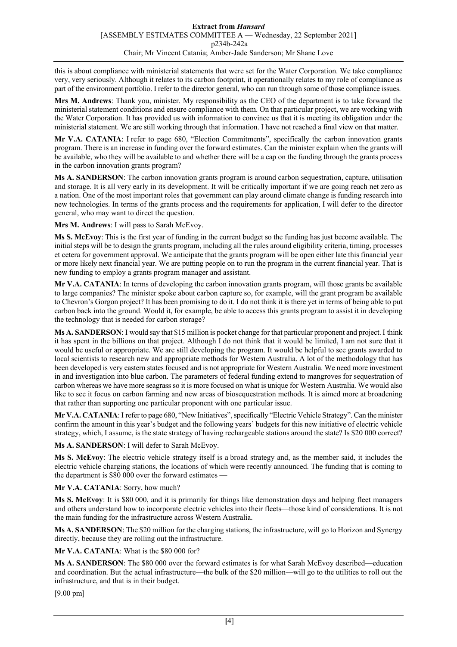this is about compliance with ministerial statements that were set for the Water Corporation. We take compliance very, very seriously. Although it relates to its carbon footprint, it operationally relates to my role of compliance as part of the environment portfolio. I refer to the director general, who can run through some of those compliance issues.

**Mrs M. Andrews**: Thank you, minister. My responsibility as the CEO of the department is to take forward the ministerial statement conditions and ensure compliance with them. On that particular project, we are working with the Water Corporation. It has provided us with information to convince us that it is meeting its obligation under the ministerial statement. We are still working through that information. I have not reached a final view on that matter.

**Mr V.A. CATANIA**: I refer to page 680, "Election Commitments", specifically the carbon innovation grants program. There is an increase in funding over the forward estimates. Can the minister explain when the grants will be available, who they will be available to and whether there will be a cap on the funding through the grants process in the carbon innovation grants program?

**Ms A. SANDERSON**: The carbon innovation grants program is around carbon sequestration, capture, utilisation and storage. It is all very early in its development. It will be critically important if we are going reach net zero as a nation. One of the most important roles that government can play around climate change is funding research into new technologies. In terms of the grants process and the requirements for application, I will defer to the director general, who may want to direct the question.

**Mrs M. Andrews**: I will pass to Sarah McEvoy.

**Ms S. McEvoy**: This is the first year of funding in the current budget so the funding has just become available. The initial steps will be to design the grants program, including all the rules around eligibility criteria, timing, processes et cetera for government approval. We anticipate that the grants program will be open either late this financial year or more likely next financial year. We are putting people on to run the program in the current financial year. That is new funding to employ a grants program manager and assistant.

**Mr V.A. CATANIA**: In terms of developing the carbon innovation grants program, will those grants be available to large companies? The minister spoke about carbon capture so, for example, will the grant program be available to Chevron's Gorgon project? It has been promising to do it. I do not think it is there yet in terms of being able to put carbon back into the ground. Would it, for example, be able to access this grants program to assist it in developing the technology that is needed for carbon storage?

**Ms A. SANDERSON**: I would say that \$15 million is pocket change for that particular proponent and project. I think it has spent in the billions on that project. Although I do not think that it would be limited, I am not sure that it would be useful or appropriate. We are still developing the program. It would be helpful to see grants awarded to local scientists to research new and appropriate methods for Western Australia. A lot of the methodology that has been developed is very eastern states focused and is not appropriate for Western Australia. We need more investment in and investigation into blue carbon. The parameters of federal funding extend to mangroves for sequestration of carbon whereas we have more seagrass so it is more focused on what is unique for Western Australia. We would also like to see it focus on carbon farming and new areas of biosequestration methods. It is aimed more at broadening that rather than supporting one particular proponent with one particular issue.

**Mr V.A. CATANIA**: I refer to page 680, "New Initiatives", specifically "Electric Vehicle Strategy". Can the minister confirm the amount in this year's budget and the following years' budgets for this new initiative of electric vehicle strategy, which, I assume, is the state strategy of having rechargeable stations around the state? Is \$20 000 correct?

Ms A. SANDERSON: I will defer to Sarah McEvoy.

**Ms S. McEvoy**: The electric vehicle strategy itself is a broad strategy and, as the member said, it includes the electric vehicle charging stations, the locations of which were recently announced. The funding that is coming to the department is \$80 000 over the forward estimates —

**Mr V.A. CATANIA**: Sorry, how much?

**Ms S. McEvoy**: It is \$80 000, and it is primarily for things like demonstration days and helping fleet managers and others understand how to incorporate electric vehicles into their fleets—those kind of considerations. It is not the main funding for the infrastructure across Western Australia.

**Ms A. SANDERSON**: The \$20 million for the charging stations, the infrastructure, will go to Horizon and Synergy directly, because they are rolling out the infrastructure.

**Mr V.A. CATANIA**: What is the \$80 000 for?

**Ms A. SANDERSON**: The \$80 000 over the forward estimates is for what Sarah McEvoy described—education and coordination. But the actual infrastructure—the bulk of the \$20 million—will go to the utilities to roll out the infrastructure, and that is in their budget.

[9.00 pm]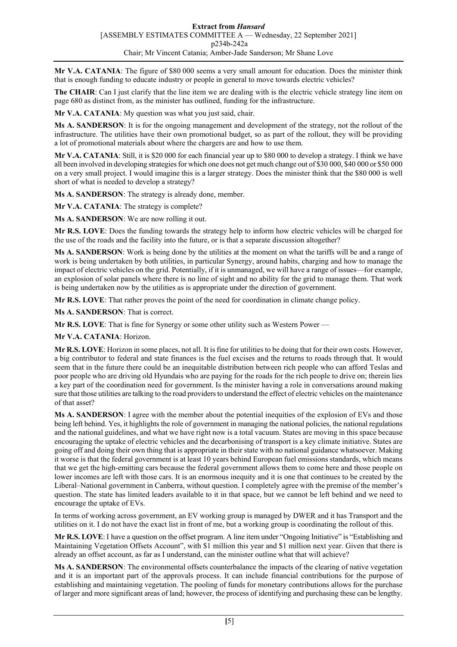**Mr V.A. CATANIA**: The figure of \$80 000 seems a very small amount for education. Does the minister think that is enough funding to educate industry or people in general to move towards electric vehicles?

**The CHAIR**: Can I just clarify that the line item we are dealing with is the electric vehicle strategy line item on page 680 as distinct from, as the minister has outlined, funding for the infrastructure.

**Mr V.A. CATANIA**: My question was what you just said, chair.

**Ms A. SANDERSON**: It is for the ongoing management and development of the strategy, not the rollout of the infrastructure. The utilities have their own promotional budget, so as part of the rollout, they will be providing a lot of promotional materials about where the chargers are and how to use them.

**Mr V.A. CATANIA**: Still, it is \$20 000 for each financial year up to \$80 000 to develop a strategy. I think we have all been involved in developing strategies for which one does not get much change out of \$30 000, \$40 000 or \$50 000 on a very small project. I would imagine this is a larger strategy. Does the minister think that the \$80 000 is well short of what is needed to develop a strategy?

**Ms A. SANDERSON**: The strategy is already done, member.

**Mr V.A. CATANIA**: The strategy is complete?

**Ms A. SANDERSON**: We are now rolling it out.

**Mr R.S. LOVE**: Does the funding towards the strategy help to inform how electric vehicles will be charged for the use of the roads and the facility into the future, or is that a separate discussion altogether?

**Ms A. SANDERSON**: Work is being done by the utilities at the moment on what the tariffs will be and a range of work is being undertaken by both utilities, in particular Synergy, around habits, charging and how to manage the impact of electric vehicles on the grid. Potentially, if it is unmanaged, we will have a range of issues—for example, an explosion of solar panels where there is no line of sight and no ability for the grid to manage them. That work is being undertaken now by the utilities as is appropriate under the direction of government.

**Mr R.S. LOVE**: That rather proves the point of the need for coordination in climate change policy.

**Ms A. SANDERSON**: That is correct.

**Mr R.S. LOVE**: That is fine for Synergy or some other utility such as Western Power —

**Mr V.A. CATANIA**: Horizon.

**Mr R.S. LOVE**: Horizon in some places, not all. It is fine for utilities to be doing that for their own costs. However, a big contributor to federal and state finances is the fuel excises and the returns to roads through that. It would seem that in the future there could be an inequitable distribution between rich people who can afford Teslas and poor people who are driving old Hyundais who are paying for the roads for the rich people to drive on; therein lies a key part of the coordination need for government. Is the minister having a role in conversations around making sure that those utilities are talking to the road providers to understand the effect of electric vehicles on the maintenance of that asset?

**Ms A. SANDERSON**: I agree with the member about the potential inequities of the explosion of EVs and those being left behind. Yes, it highlights the role of government in managing the national policies, the national regulations and the national guidelines, and what we have right now is a total vacuum. States are moving in this space because encouraging the uptake of electric vehicles and the decarbonising of transport is a key climate initiative. States are going off and doing their own thing that is appropriate in their state with no national guidance whatsoever. Making it worse is that the federal government is at least 10 years behind European fuel emissions standards, which means that we get the high-emitting cars because the federal government allows them to come here and those people on lower incomes are left with those cars. It is an enormous inequity and it is one that continues to be created by the Liberal–National government in Canberra, without question. I completely agree with the premise of the member's question. The state has limited leaders available to it in that space, but we cannot be left behind and we need to encourage the uptake of EVs.

In terms of working across government, an EV working group is managed by DWER and it has Transport and the utilities on it. I do not have the exact list in front of me, but a working group is coordinating the rollout of this.

**Mr R.S. LOVE**: I have a question on the offset program. A line item under "Ongoing Initiative" is "Establishing and Maintaining Vegetation Offsets Account", with \$1 million this year and \$1 million next year. Given that there is already an offset account, as far as I understand, can the minister outline what that will achieve?

**Ms A. SANDERSON**: The environmental offsets counterbalance the impacts of the clearing of native vegetation and it is an important part of the approvals process. It can include financial contributions for the purpose of establishing and maintaining vegetation. The pooling of funds for monetary contributions allows for the purchase of larger and more significant areas of land; however, the process of identifying and purchasing these can be lengthy.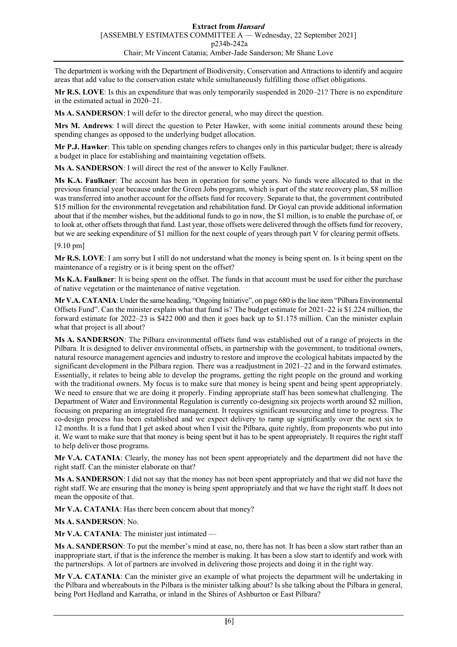The department is working with the Department of Biodiversity, Conservation and Attractions to identify and acquire areas that add value to the conservation estate while simultaneously fulfilling those offset obligations.

**Mr R.S. LOVE**: Is this an expenditure that was only temporarily suspended in 2020–21? There is no expenditure in the estimated actual in 2020–21.

**Ms A. SANDERSON**: I will defer to the director general, who may direct the question.

**Mrs M. Andrews**: I will direct the question to Peter Hawker, with some initial comments around these being spending changes as opposed to the underlying budget allocation.

**Mr P.J. Hawker**: This table on spending changes refers to changes only in this particular budget; there is already a budget in place for establishing and maintaining vegetation offsets.

**Ms A. SANDERSON**: I will direct the rest of the answer to Kelly Faulkner.

**Ms K.A. Faulkner**: The account has been in operation for some years. No funds were allocated to that in the previous financial year because under the Green Jobs program, which is part of the state recovery plan, \$8 million was transferred into another account for the offsets fund for recovery. Separate to that, the government contributed \$15 million for the environmental revegetation and rehabilitation fund. Dr Goyal can provide additional information about that if the member wishes, but the additional funds to go in now, the \$1 million, is to enable the purchase of, or to look at, other offsets through that fund. Last year, those offsets were delivered through the offsets fund for recovery, but we are seeking expenditure of \$1 million for the next couple of years through part V for clearing permit offsets.

### [9.10 pm]

**Mr R.S. LOVE**: I am sorry but I still do not understand what the money is being spent on. Is it being spent on the maintenance of a registry or is it being spent on the offset?

**Ms K.A. Faulkner**: It is being spent on the offset. The funds in that account must be used for either the purchase of native vegetation or the maintenance of native vegetation.

**Mr V.A. CATANIA**: Under the same heading, "Ongoing Initiative", on page 680 is the line item "Pilbara Environmental Offsets Fund". Can the minister explain what that fund is? The budget estimate for 2021–22 is \$1.224 million, the forward estimate for 2022–23 is \$422 000 and then it goes back up to \$1.175 million. Can the minister explain what that project is all about?

**Ms A. SANDERSON**: The Pilbara environmental offsets fund was established out of a range of projects in the Pilbara. It is designed to deliver environmental offsets, in partnership with the government, to traditional owners, natural resource management agencies and industry to restore and improve the ecological habitats impacted by the significant development in the Pilbara region. There was a readjustment in 2021–22 and in the forward estimates. Essentially, it relates to being able to develop the programs, getting the right people on the ground and working with the traditional owners. My focus is to make sure that money is being spent and being spent appropriately. We need to ensure that we are doing it properly. Finding appropriate staff has been somewhat challenging. The Department of Water and Environmental Regulation is currently co-designing six projects worth around \$2 million, focusing on preparing an integrated fire management. It requires significant resourcing and time to progress. The co-design process has been established and we expect delivery to ramp up significantly over the next six to 12 months. It is a fund that I get asked about when I visit the Pilbara, quite rightly, from proponents who put into it. We want to make sure that that money is being spent but it has to be spent appropriately. It requires the right staff to help deliver those programs.

**Mr V.A. CATANIA**: Clearly, the money has not been spent appropriately and the department did not have the right staff. Can the minister elaborate on that?

**Ms A. SANDERSON**: I did not say that the money has not been spent appropriately and that we did not have the right staff. We are ensuring that the money is being spent appropriately and that we have the right staff. It does not mean the opposite of that.

**Mr V.A. CATANIA**: Has there been concern about that money?

### **Ms A. SANDERSON**: No.

Mr V.A. CATANIA: The minister just intimated -

**Ms A. SANDERSON**: To put the member's mind at ease, no, there has not. It has been a slow start rather than an inappropriate start, if that is the inference the member is making. It has been a slow start to identify and work with the partnerships. A lot of partners are involved in delivering those projects and doing it in the right way.

**Mr V.A. CATANIA**: Can the minister give an example of what projects the department will be undertaking in the Pilbara and whereabouts in the Pilbara is the minister talking about? Is she talking about the Pilbara in general, being Port Hedland and Karratha, or inland in the Shires of Ashburton or East Pilbara?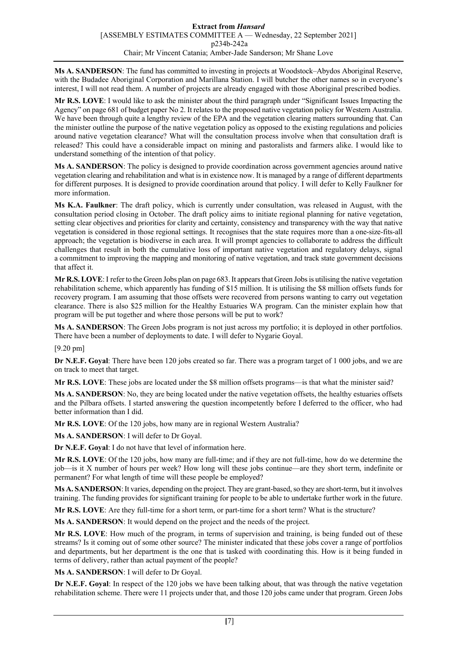**Ms A. SANDERSON**: The fund has committed to investing in projects at Woodstock–Abydos Aboriginal Reserve, with the Budadee Aboriginal Corporation and Marillana Station. I will butcher the other names so in everyone's interest, I will not read them. A number of projects are already engaged with those Aboriginal prescribed bodies.

**Mr R.S. LOVE**: I would like to ask the minister about the third paragraph under "Significant Issues Impacting the Agency" on page 681 of budget paper No 2. It relates to the proposed native vegetation policy for Western Australia. We have been through quite a lengthy review of the EPA and the vegetation clearing matters surrounding that. Can the minister outline the purpose of the native vegetation policy as opposed to the existing regulations and policies around native vegetation clearance? What will the consultation process involve when that consultation draft is released? This could have a considerable impact on mining and pastoralists and farmers alike. I would like to understand something of the intention of that policy.

**Ms A. SANDERSON**: The policy is designed to provide coordination across government agencies around native vegetation clearing and rehabilitation and what is in existence now. It is managed by a range of different departments for different purposes. It is designed to provide coordination around that policy. I will defer to Kelly Faulkner for more information.

**Ms K.A. Faulkner**: The draft policy, which is currently under consultation, was released in August, with the consultation period closing in October. The draft policy aims to initiate regional planning for native vegetation, setting clear objectives and priorities for clarity and certainty, consistency and transparency with the way that native vegetation is considered in those regional settings. It recognises that the state requires more than a one-size-fits-all approach; the vegetation is biodiverse in each area. It will prompt agencies to collaborate to address the difficult challenges that result in both the cumulative loss of important native vegetation and regulatory delays, signal a commitment to improving the mapping and monitoring of native vegetation, and track state government decisions that affect it.

**Mr R.S. LOVE**: I refer to the Green Jobs plan on page 683. It appears that Green Jobs is utilising the native vegetation rehabilitation scheme, which apparently has funding of \$15 million. It is utilising the \$8 million offsets funds for recovery program. I am assuming that those offsets were recovered from persons wanting to carry out vegetation clearance. There is also \$25 million for the Healthy Estuaries WA program. Can the minister explain how that program will be put together and where those persons will be put to work?

**Ms A. SANDERSON**: The Green Jobs program is not just across my portfolio; it is deployed in other portfolios. There have been a number of deployments to date. I will defer to Nygarie Goyal.

[9.20 pm]

**Dr N.E.F. Goyal**: There have been 120 jobs created so far. There was a program target of 1 000 jobs, and we are on track to meet that target.

**Mr R.S. LOVE**: These jobs are located under the \$8 million offsets programs—is that what the minister said?

**Ms A. SANDERSON**: No, they are being located under the native vegetation offsets, the healthy estuaries offsets and the Pilbara offsets. I started answering the question incompetently before I deferred to the officer, who had better information than I did.

**Mr R.S. LOVE**: Of the 120 jobs, how many are in regional Western Australia?

**Ms A. SANDERSON**: I will defer to Dr Goyal.

**Dr N.E.F. Goyal**: I do not have that level of information here.

**Mr R.S. LOVE**: Of the 120 jobs, how many are full-time; and if they are not full-time, how do we determine the job—is it X number of hours per week? How long will these jobs continue—are they short term, indefinite or permanent? For what length of time will these people be employed?

**Ms A. SANDERSON**: It varies, depending on the project. They are grant-based, so they are short-term, but it involves training. The funding provides for significant training for people to be able to undertake further work in the future.

**Mr R.S. LOVE**: Are they full-time for a short term, or part-time for a short term? What is the structure?

**Ms A. SANDERSON**: It would depend on the project and the needs of the project.

**Mr R.S. LOVE**: How much of the program, in terms of supervision and training, is being funded out of these streams? Is it coming out of some other source? The minister indicated that these jobs cover a range of portfolios and departments, but her department is the one that is tasked with coordinating this. How is it being funded in terms of delivery, rather than actual payment of the people?

**Ms A. SANDERSON**: I will defer to Dr Goyal.

**Dr N.E.F. Goyal**: In respect of the 120 jobs we have been talking about, that was through the native vegetation rehabilitation scheme. There were 11 projects under that, and those 120 jobs came under that program. Green Jobs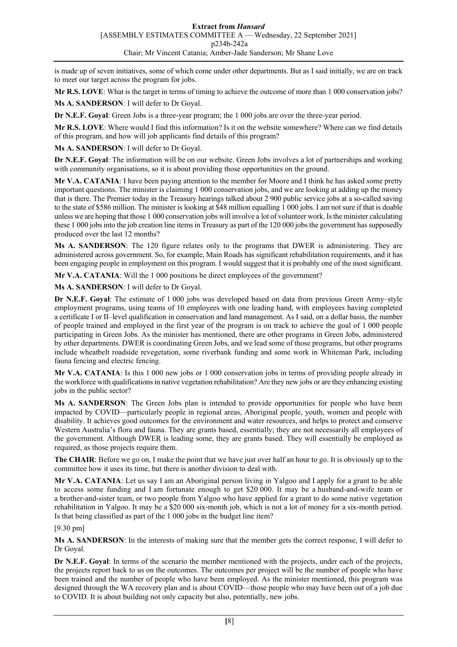is made up of seven initiatives, some of which come under other departments. But as I said initially, we are on track to meet our target across the program for jobs.

**Mr R.S. LOVE**: What is the target in terms of timing to achieve the outcome of more than 1 000 conservation jobs?

**Ms A. SANDERSON**: I will defer to Dr Goyal.

**Dr N.E.F. Goyal**: Green Jobs is a three-year program; the 1 000 jobs are over the three-year period.

**Mr R.S. LOVE**: Where would I find this information? Is it on the website somewhere? Where can we find details of this program, and how will job applicants find details of this program?

**Ms A. SANDERSON**: I will defer to Dr Goyal.

**Dr N.E.F. Goyal**: The information will be on our website. Green Jobs involves a lot of partnerships and working with community organisations, so it is about providing those opportunities on the ground.

**Mr V.A. CATANIA**: I have been paying attention to the member for Moore and I think he has asked some pretty important questions. The minister is claiming 1 000 conservation jobs, and we are looking at adding up the money that is there. The Premier today in the Treasury hearings talked about 2 900 public service jobs at a so-called saving to the state of \$586 million. The minister is looking at \$48 million equalling 1 000 jobs. I am not sure if that is doable unless we are hoping that those 1 000 conservation jobs will involve a lot of volunteer work. Is the minister calculating these 1 000 jobs into the job creation line items in Treasury as part of the 120 000 jobs the government has supposedly produced over the last 12 months?

**Ms A. SANDERSON**: The 120 figure relates only to the programs that DWER is administering. They are administered across government. So, for example, Main Roads has significant rehabilitation requirements, and it has been engaging people in employment on this program. I would suggest that it is probably one of the most significant.

**Mr V.A. CATANIA**: Will the 1 000 positions be direct employees of the government?

**Ms A. SANDERSON**: I will defer to Dr Goyal.

**Dr N.E.F. Goyal**: The estimate of 1 000 jobs was developed based on data from previous Green Army–style employment programs, using teams of 10 employees with one leading hand, with employees having completed a certificate I or II–level qualification in conservation and land management. As I said, on a dollar basis, the number of people trained and employed in the first year of the program is on track to achieve the goal of 1 000 people participating in Green Jobs. As the minister has mentioned, there are other programs in Green Jobs, administered by other departments. DWER is coordinating Green Jobs, and we lead some of those programs, but other programs include wheatbelt roadside revegetation, some riverbank funding and some work in Whiteman Park, including fauna fencing and electric fencing.

**Mr V.A. CATANIA**: Is this 1 000 new jobs or 1 000 conservation jobs in terms of providing people already in the workforce with qualifications in native vegetation rehabilitation? Are they new jobs or are they enhancing existing jobs in the public sector?

**Ms A. SANDERSON**: The Green Jobs plan is intended to provide opportunities for people who have been impacted by COVID—particularly people in regional areas, Aboriginal people, youth, women and people with disability. It achieves good outcomes for the environment and water resources, and helps to protect and conserve Western Australia's flora and fauna. They are grants based, essentially; they are not necessarily all employees of the government. Although DWER is leading some, they are grants based. They will essentially be employed as required, as those projects require them.

**The CHAIR:** Before we go on, I make the point that we have just over half an hour to go. It is obviously up to the committee how it uses its time, but there is another division to deal with.

**Mr V.A. CATANIA**: Let us say I am an Aboriginal person living in Yalgoo and I apply for a grant to be able to access some funding and I am fortunate enough to get \$20 000. It may be a husband-and-wife team or a brother-and-sister team, or two people from Yalgoo who have applied for a grant to do some native vegetation rehabilitation in Yalgoo. It may be a \$20 000 six-month job, which is not a lot of money for a six-month period. Is that being classified as part of the 1 000 jobs in the budget line item?

### [9.30 pm]

**Ms A. SANDERSON**: In the interests of making sure that the member gets the correct response, I will defer to Dr Goyal.

**Dr N.E.F. Goyal**: In terms of the scenario the member mentioned with the projects, under each of the projects, the projects report back to us on the outcomes. The outcomes per project will be the number of people who have been trained and the number of people who have been employed. As the minister mentioned, this program was designed through the WA recovery plan and is about COVID—those people who may have been out of a job due to COVID. It is about building not only capacity but also, potentially, new jobs.